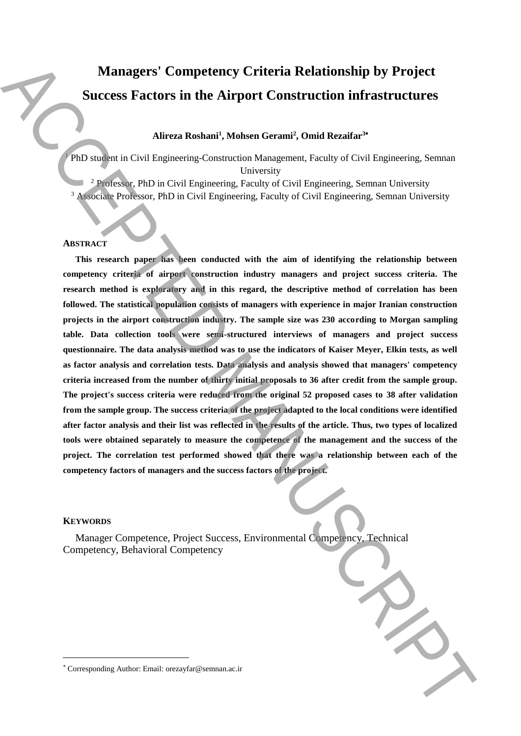# **Managers' Competency Criteria Relationship by Project Success Factors in the Airport Construction infrastructures**

# **Alireza Roshani<sup>1</sup> , Mohsen Gerami<sup>2</sup> , Omid Rezaifar<sup>3</sup>**

<sup>1</sup> PhD student in Civil Engineering-Construction Management, Faculty of Civil Engineering, Semnan University

<sup>2</sup> Professor, PhD in Civil Engineering, Faculty of Civil Engineering, Semnan University <sup>3</sup> Associate Professor, PhD in Civil Engineering, Faculty of Civil Engineering, Semnan University

## **ABSTRACT**

**This research paper has been conducted with the aim of identifying the relationship between competency criteria of airport construction industry managers and project success criteria. The research method is exploratory and in this regard, the descriptive method of correlation has been followed. The statistical population consists of managers with experience in major Iranian construction projects in the airport construction industry. The sample size was 230 according to Morgan sampling table. Data collection tools were semi-structured interviews of managers and project success questionnaire. The data analysis method was to use the indicators of Kaiser Meyer, Elkin tests, as well as factor analysis and correlation tests. Data analysis and analysis showed that managers' competency criteria increased from the number of thirty initial proposals to 36 after credit from the sample group. The project's success criteria were reduced from the original 52 proposed cases to 38 after validation from the sample group. The success criteria of the project adapted to the local conditions were identified after factor analysis and their list was reflected in the results of the article. Thus, two types of localized tools were obtained separately to measure the competence of the management and the success of the project. The correlation test performed showed that there was a relationship between each of the competency factors of managers and the success factors of the project. Managers' Competency Criteria Relationship by Project**<br>Success Factors in the Airport Construction infrastructures<br>Aircu Boshnail, Mulson Geranic, Ontol Bealtime<sup>2</sup><br>Author: One of the Corresponding Construction (Solid Be

#### **KEYWORDS**

**.** 

Manager Competence, Project Success, Environmental Competency, Technical Competency, Behavioral Competency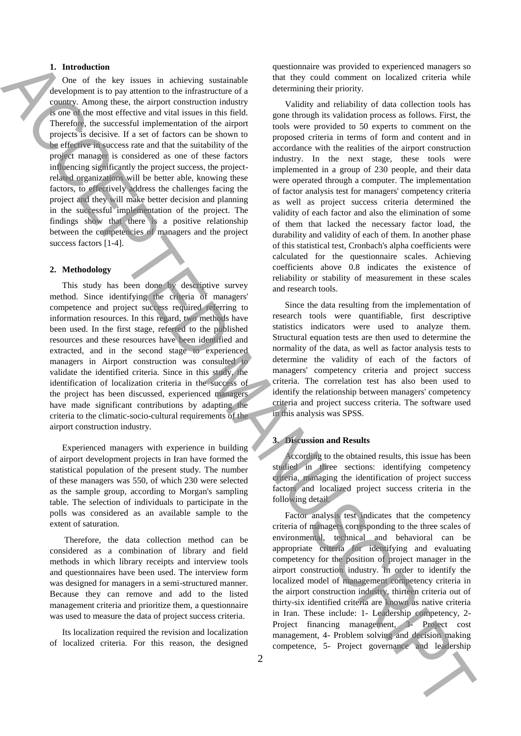## **1. Introduction**

One of the key issues in achieving sustainable development is to pay attention to the infrastructure of a country. Among these, the airport construction industry is one of the most effective and vital issues in this field. Therefore, the successful implementation of the airport projects is decisive. If a set of factors can be shown to be effective in success rate and that the suitability of the project manager is considered as one of these factors influencing significantly the project success, the projectrelated organizations will be better able, knowing these factors, to effectively address the challenges facing the project and they will make better decision and planning in the successful implementation of the project. The findings show that there is a positive relationship between the competencies of managers and the project success factors [1-4].

#### **2. Methodology**

This study has been done by descriptive survey method. Since identifying the criteria of managers' competence and project success required referring to information resources. In this regard, two methods have been used. In the first stage, referred to the published resources and these resources have been identified and extracted, and in the second stage to experienced managers in Airport construction was consulted to validate the identified criteria. Since in this study, the identification of localization criteria in the success of the project has been discussed, experienced managers have made significant contributions by adapting the criteria to the climatic-socio-cultural requirements of the airport construction industry.

Experienced managers with experience in building of airport development projects in Iran have formed the statistical population of the present study. The number of these managers was 550, of which 230 were selected as the sample group, according to Morgan's sampling table. The selection of individuals to participate in the polls was considered as an available sample to the extent of saturation.

Therefore, the data collection method can be considered as a combination of library and field methods in which library receipts and interview tools and questionnaires have been used. The interview form was designed for managers in a semi-structured manner. Because they can remove and add to the listed management criteria and prioritize them, a questionnaire was used to measure the data of project success criteria.

Its localization required the revision and localization of localized criteria. For this reason, the designed

questionnaire was provided to experienced managers so that they could comment on localized criteria while determining their priority.

Validity and reliability of data collection tools has gone through its validation process as follows. First, the tools were provided to 50 experts to comment on the proposed criteria in terms of form and content and in accordance with the realities of the airport construction industry. In the next stage, these tools were implemented in a group of 230 people, and their data were operated through a computer. The implementation of factor analysis test for managers' competency criteria as well as project success criteria determined the validity of each factor and also the elimination of some of them that lacked the necessary factor load, the durability and validity of each of them. In another phase of this statistical test, Cronbach's alpha coefficients were calculated for the questionnaire scales. Achieving coefficients above 0.8 indicates the existence of reliability or stability of measurement in these scales and research tools. **1.** Interesting the state and since the project governance and point the state and leadership ACCEPTER CONTRACT (and the state and leadership ACCEPTER CONTRACT (and the state and interest governance and interest governan

Since the data resulting from the implementation of research tools were quantifiable, first descriptive statistics indicators were used to analyze them. Structural equation tests are then used to determine the normality of the data, as well as factor analysis tests to determine the validity of each of the factors of managers' competency criteria and project success criteria. The correlation test has also been used to identify the relationship between managers' competency criteria and project success criteria. The software used in this analysis was SPSS.

# **3. Discussion and Results**

According to the obtained results, this issue has been studied in three sections: identifying competency criteria, managing the identification of project success factors and localized project success criteria in the following detail.

Factor analysis test indicates that the competency criteria of managers corresponding to the three scales of environmental, technical and behavioral can be appropriate criteria for identifying and evaluating competency for the position of project manager in the airport construction industry. In order to identify the localized model of management competency criteria in the airport construction industry, thirteen criteria out of thirty-six identified criteria are known as native criteria in Iran. These include: 1- Leadership competency, 2- Project financing management, 3- Project cost management, 4- Problem solving and decision making